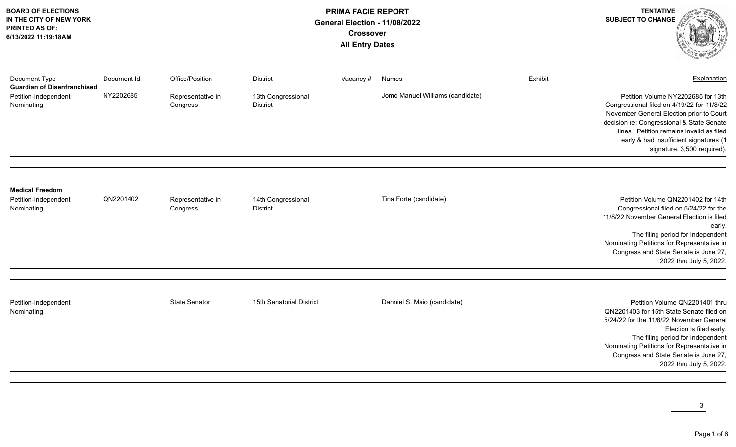| <b>BOARD OF ELECTIONS</b><br>IN THE CITY OF NEW YORK<br><b>PRINTED AS OF:</b><br>6/13/2022 11:19:18AM | <b>PRIMA FACIE REPORT</b><br>General Election - 11/08/2022<br><b>Crossover</b><br><b>All Entry Dates</b> |                               |                                       |                  |                                  |         | <b>TENTATIVE</b><br><b>SUBJECT TO CHANGE</b>                                                                                                                                                                                                                                                             |
|-------------------------------------------------------------------------------------------------------|----------------------------------------------------------------------------------------------------------|-------------------------------|---------------------------------------|------------------|----------------------------------|---------|----------------------------------------------------------------------------------------------------------------------------------------------------------------------------------------------------------------------------------------------------------------------------------------------------------|
| Document Type<br><b>Guardian of Disenfranchised</b>                                                   | Document Id                                                                                              | Office/Position               | <b>District</b>                       | <u>Vacancy #</u> | <b>Names</b>                     | Exhibit | Explanation                                                                                                                                                                                                                                                                                              |
| Petition-Independent<br>Nominating                                                                    | NY2202685                                                                                                | Representative in<br>Congress | 13th Congressional<br><b>District</b> |                  | Jomo Manuel Williams (candidate) |         | Petition Volume NY2202685 for 13th<br>Congressional filed on 4/19/22 for 11/8/22<br>November General Election prior to Court<br>decision re: Congressional & State Senate<br>lines. Petition remains invalid as filed<br>early & had insufficient signatures (1<br>signature, 3,500 required).           |
| <b>Medical Freedom</b><br>Petition-Independent<br>Nominating                                          | QN2201402                                                                                                | Representative in<br>Congress | 14th Congressional<br><b>District</b> |                  | Tina Forte (candidate)           |         | Petition Volume QN2201402 for 14th<br>Congressional filed on 5/24/22 for the<br>11/8/22 November General Election is filed<br>early.<br>The filing period for Independent<br>Nominating Petitions for Representative in<br>Congress and State Senate is June 27,<br>2022 thru July 5, 2022.              |
| Petition-Independent<br>Nominating                                                                    |                                                                                                          | <b>State Senator</b>          | 15th Senatorial District              |                  | Danniel S. Maio (candidate)      |         | Petition Volume QN2201401 thru<br>QN2201403 for 15th State Senate filed on<br>5/24/22 for the 11/8/22 November General<br>Election is filed early.<br>The filing period for Independent<br>Nominating Petitions for Representative in<br>Congress and State Senate is June 27,<br>2022 thru July 5, 2022 |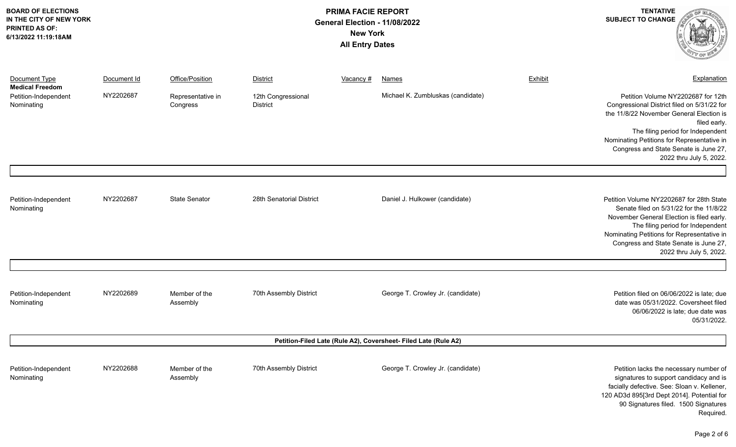| <b>BOARD OF ELECTIONS</b><br>IN THE CITY OF NEW YORK<br><b>PRINTED AS OF:</b><br>6/13/2022 11:19:18AM |             |                               | <b>TENTATIVE</b><br><b>SUBJECT TO CHANGE</b> |           |                                                                 |         |                                                                                                                                                                                                                                                                                                      |
|-------------------------------------------------------------------------------------------------------|-------------|-------------------------------|----------------------------------------------|-----------|-----------------------------------------------------------------|---------|------------------------------------------------------------------------------------------------------------------------------------------------------------------------------------------------------------------------------------------------------------------------------------------------------|
| Document Type<br><b>Medical Freedom</b>                                                               | Document Id | Office/Position               | District                                     | Vacancy # | <b>Names</b>                                                    | Exhibit | Explanation                                                                                                                                                                                                                                                                                          |
| Petition-Independent<br>Nominating                                                                    | NY2202687   | Representative in<br>Congress | 12th Congressional<br><b>District</b>        |           | Michael K. Zumbluskas (candidate)                               |         | Petition Volume NY2202687 for 12th<br>Congressional District filed on 5/31/22 for<br>the 11/8/22 November General Election is<br>filed early.<br>The filing period for Independent<br>Nominating Petitions for Representative in<br>Congress and State Senate is June 27,<br>2022 thru July 5, 2022. |
| Petition-Independent<br>Nominating                                                                    | NY2202687   | <b>State Senator</b>          | 28th Senatorial District                     |           | Daniel J. Hulkower (candidate)                                  |         | Petition Volume NY2202687 for 28th State<br>Senate filed on 5/31/22 for the 11/8/22<br>November General Election is filed early.<br>The filing period for Independent<br>Nominating Petitions for Representative in<br>Congress and State Senate is June 27,<br>2022 thru July 5, 2022.              |
| Petition-Independent<br>Nominating                                                                    | NY2202689   | Member of the<br>Assembly     | 70th Assembly District                       |           | George T. Crowley Jr. (candidate)                               |         | Petition filed on 06/06/2022 is late; due<br>date was 05/31/2022. Coversheet filed<br>06/06/2022 is late; due date was<br>05/31/2022.                                                                                                                                                                |
|                                                                                                       |             |                               |                                              |           | Petition-Filed Late (Rule A2), Coversheet- Filed Late (Rule A2) |         |                                                                                                                                                                                                                                                                                                      |
| Petition-Independent<br>Nominating                                                                    | NY2202688   | Member of the<br>Assembly     | 70th Assembly District                       |           | George T. Crowley Jr. (candidate)                               |         | Petition lacks the necessary number of<br>signatures to support candidacy and is<br>facially defective. See: Sloan v. Kellener,<br>120 AD3d 895[3rd Dept 2014]. Potential for<br>90 Signatures filed. 1500 Signatures<br>Required.                                                                   |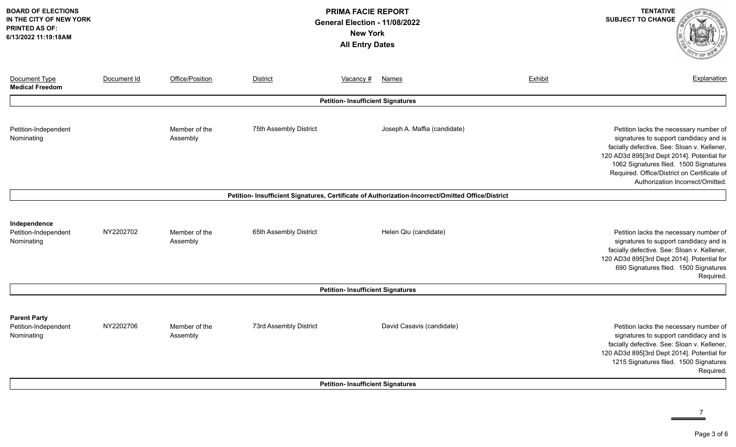| <b>BOARD OF ELECTIONS</b><br>IN THE CITY OF NEW YORK<br><b>PRINTED AS OF:</b><br>6/13/2022 11:19:18AM | <b>PRIMA FACIE REPORT</b><br>General Election - 11/08/2022<br><b>New York</b><br><b>All Entry Dates</b> |                           |                        |                                          |                                                                                                   |         | <b>TENTATIVE</b><br><b>SUBJECT TO CHANGE</b>                                                                                                                                                                                                                                                              |
|-------------------------------------------------------------------------------------------------------|---------------------------------------------------------------------------------------------------------|---------------------------|------------------------|------------------------------------------|---------------------------------------------------------------------------------------------------|---------|-----------------------------------------------------------------------------------------------------------------------------------------------------------------------------------------------------------------------------------------------------------------------------------------------------------|
| Document Type<br><b>Medical Freedom</b>                                                               | Document Id                                                                                             | Office/Position           | <b>District</b>        | Vacancy #                                | Names                                                                                             | Exhibit | Explanation                                                                                                                                                                                                                                                                                               |
|                                                                                                       |                                                                                                         |                           |                        | <b>Petition- Insufficient Signatures</b> |                                                                                                   |         |                                                                                                                                                                                                                                                                                                           |
| Petition-Independent<br>Nominating                                                                    |                                                                                                         | Member of the<br>Assembly | 75th Assembly District |                                          | Joseph A. Maffia (candidate)                                                                      |         | Petition lacks the necessary number of<br>signatures to support candidacy and is<br>facially defective. See: Sloan v. Kellener,<br>120 AD3d 895[3rd Dept 2014]. Potential for<br>1062 Signatures filed. 1500 Signatures<br>Required. Office/District on Certificate of<br>Authorization Incorrect/Omitted |
|                                                                                                       |                                                                                                         |                           |                        |                                          | Petition- Insufficient Signatures, Certificate of Authorization-Incorrect/Omitted Office/District |         |                                                                                                                                                                                                                                                                                                           |
| Independence<br>Petition-Independent<br>Nominating                                                    | NY2202702                                                                                               | Member of the<br>Assembly | 65th Assembly District |                                          | Helen Qiu (candidate)                                                                             |         | Petition lacks the necessary number of<br>signatures to support candidacy and is<br>facially defective. See: Sloan v. Kellener,<br>120 AD3d 895[3rd Dept 2014]. Potential for<br>690 Signatures filed. 1500 Signatures<br>Required.                                                                       |
|                                                                                                       |                                                                                                         |                           |                        | <b>Petition- Insufficient Signatures</b> |                                                                                                   |         |                                                                                                                                                                                                                                                                                                           |
| <b>Parent Party</b><br>Petition-Independent<br>Nominating                                             | NY2202706                                                                                               | Member of the<br>Assembly | 73rd Assembly District |                                          | David Casavis (candidate)                                                                         |         | Petition lacks the necessary number of<br>signatures to support candidacy and is<br>facially defective. See: Sloan v. Kellener,<br>120 AD3d 895[3rd Dept 2014]. Potential for<br>1215 Signatures filed. 1500 Signatures<br>Required.                                                                      |
|                                                                                                       |                                                                                                         |                           |                        | <b>Petition- Insufficient Signatures</b> |                                                                                                   |         |                                                                                                                                                                                                                                                                                                           |

 $\frac{7}{2}$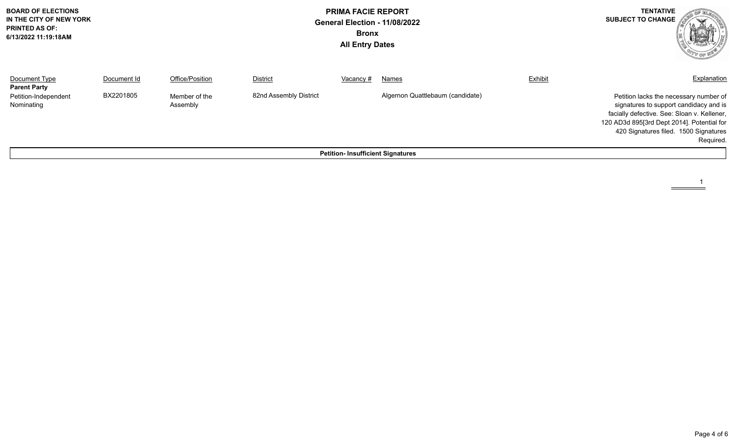| <b>BOARD OF ELECTIONS</b><br>IN THE CITY OF NEW YORK<br><b>PRINTED AS OF:</b><br>6/13/2022 11:19:18AM |                          |                                              | <b>PRIMA FACIE REPORT</b><br>General Election - 11/08/2022<br><b>Bronx</b><br><b>All Entry Dates</b> |                                          |                                           |         | <b>TENTATIVE</b><br><b>SUBJECT TO CHANGE</b>                                                                                                   |
|-------------------------------------------------------------------------------------------------------|--------------------------|----------------------------------------------|------------------------------------------------------------------------------------------------------|------------------------------------------|-------------------------------------------|---------|------------------------------------------------------------------------------------------------------------------------------------------------|
| Document Type<br><b>Parent Party</b><br>Petition-Independent<br>Nominating                            | Document Id<br>BX2201805 | Office/Position<br>Member of the<br>Assembly | <b>District</b><br>82nd Assembly District                                                            | Vacancy #                                | Names<br>Algernon Quattlebaum (candidate) | Exhibit | Explanation<br>Petition lacks the necessary number of<br>signatures to support candidacy and is<br>facially defective. See: Sloan v. Kellener, |
|                                                                                                       |                          |                                              |                                                                                                      | <b>Petition- Insufficient Signatures</b> |                                           |         | 120 AD3d 895[3rd Dept 2014]. Potential for<br>420 Signatures filed. 1500 Signatures<br>Required.                                               |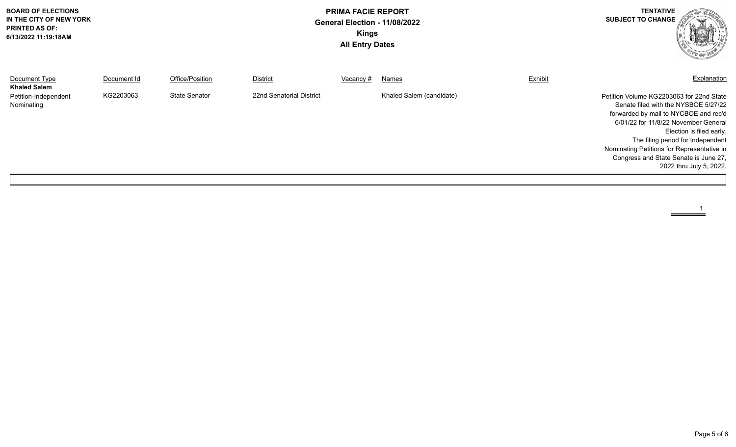| <b>BOARD OF ELECTIONS</b><br>IN THE CITY OF NEW YORK<br><b>PRINTED AS OF:</b><br>6/13/2022 11:19:18AM | <b>PRIMA FACIE REPORT</b><br>General Election - 11/08/2022<br><b>Kings</b><br><b>All Entry Dates</b> |                      |                          |           |                          |         | <b>TENTATIVE</b><br><b>SUBJECT TO CHANGE</b>                                                                                                                                                                                                                                                                                                         |
|-------------------------------------------------------------------------------------------------------|------------------------------------------------------------------------------------------------------|----------------------|--------------------------|-----------|--------------------------|---------|------------------------------------------------------------------------------------------------------------------------------------------------------------------------------------------------------------------------------------------------------------------------------------------------------------------------------------------------------|
| Document Type<br><b>Khaled Salem</b>                                                                  | Document Id                                                                                          | Office/Position      | District                 | Vacancy # | Names                    | Exhibit | Explanation                                                                                                                                                                                                                                                                                                                                          |
| Petition-Independent<br>Nominating                                                                    | KG2203063                                                                                            | <b>State Senator</b> | 22nd Senatorial District |           | Khaled Salem (candidate) |         | Petition Volume KG2203063 for 22nd State<br>Senate filed with the NYSBOE 5/27/22<br>forwarded by mail to NYCBOE and rec'd<br>6/01/22 for 11/8/22 November General<br>Election is filed early.<br>The filing period for Independent<br>Nominating Petitions for Representative in<br>Congress and State Senate is June 27,<br>2022 thru July 5, 2022. |

 $\overset{1}{=}$ 

 $\equiv$